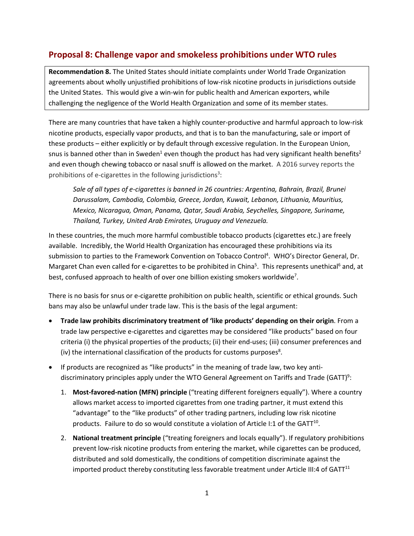## **Proposal 8: Challenge vapor and smokeless prohibitions under WTO rules**

**Recommendation 8.** The United States should initiate complaints under World Trade Organization agreements about wholly unjustified prohibitions of low-risk nicotine products in jurisdictions outside the United States. This would give a win-win for public health and American exporters, while challenging the negligence of the World Health Organization and some of its member states.

There are many countries that have taken a highly counter-productive and harmful approach to low-risk nicotine products, especially vapor products, and that is to ban the manufacturing, sale or import of these products – either explicitly or by default through excessive regulation. In the European Union, snus is banned other than in Sweden<sup>1</sup> even though the product has had very significant health benefits<sup>2</sup> and even though chewing tobacco or nasal snuff is allowed on the market. A 2016 survey reports the prohibitions of e-cigarettes in the following jurisdictions<sup>3</sup>:

*Sale of all types of e-cigarettes is banned in 26 countries: Argentina, Bahrain, Brazil, Brunei Darussalam, Cambodia, Colombia, Greece, Jordan, Kuwait, Lebanon, Lithuania, Mauritius, Mexico, Nicaragua, Oman, Panama, Qatar, Saudi Arabia, Seychelles, Singapore, Suriname, Thailand, Turkey, United Arab Emirates, Uruguay and Venezuela.* 

In these countries, the much more harmful combustible tobacco products (cigarettes etc.) are freely available. Incredibly, the World Health Organization has encouraged these prohibitions via its submission to parties to the Framework Convention on Tobacco Control<sup>4</sup>. WHO's Director General, Dr. Margaret Chan even called for e-cigarettes to be prohibited in China<sup>5</sup>. This represents unethical<sup>6</sup> and, at best, confused approach to health of over one billion existing smokers worldwide<sup>7</sup>.

There is no basis for snus or e-cigarette prohibition on public health, scientific or ethical grounds. Such bans may also be unlawful under trade law. This is the basis of the legal argument:

- **Trade law prohibits discriminatory treatment of 'like products' depending on their origin**. From a trade law perspective e-cigarettes and cigarettes may be considered "like products" based on four criteria (i) the physical properties of the products; (ii) their end-uses; (iii) consumer preferences and (iv) the international classification of the products for customs purposes $8$ .
- If products are recognized as "like products" in the meaning of trade law, two key antidiscriminatory principles apply under the WTO General Agreement on Tariffs and Trade (GATT)<sup>9</sup>:
	- 1. **Most-favored-nation (MFN) principle** ("treating different foreigners equally"). Where a country allows market access to imported cigarettes from one trading partner, it must extend this "advantage" to the "like products" of other trading partners, including low risk nicotine products. Failure to do so would constitute a violation of Article I:1 of the GATT<sup>10</sup>.
	- 2. **National treatment principle** ("treating foreigners and locals equally"). If regulatory prohibitions prevent low-risk nicotine products from entering the market, while cigarettes can be produced, distributed and sold domestically, the conditions of competition discriminate against the imported product thereby constituting less favorable treatment under Article III:4 of  $GATT<sup>11</sup>$